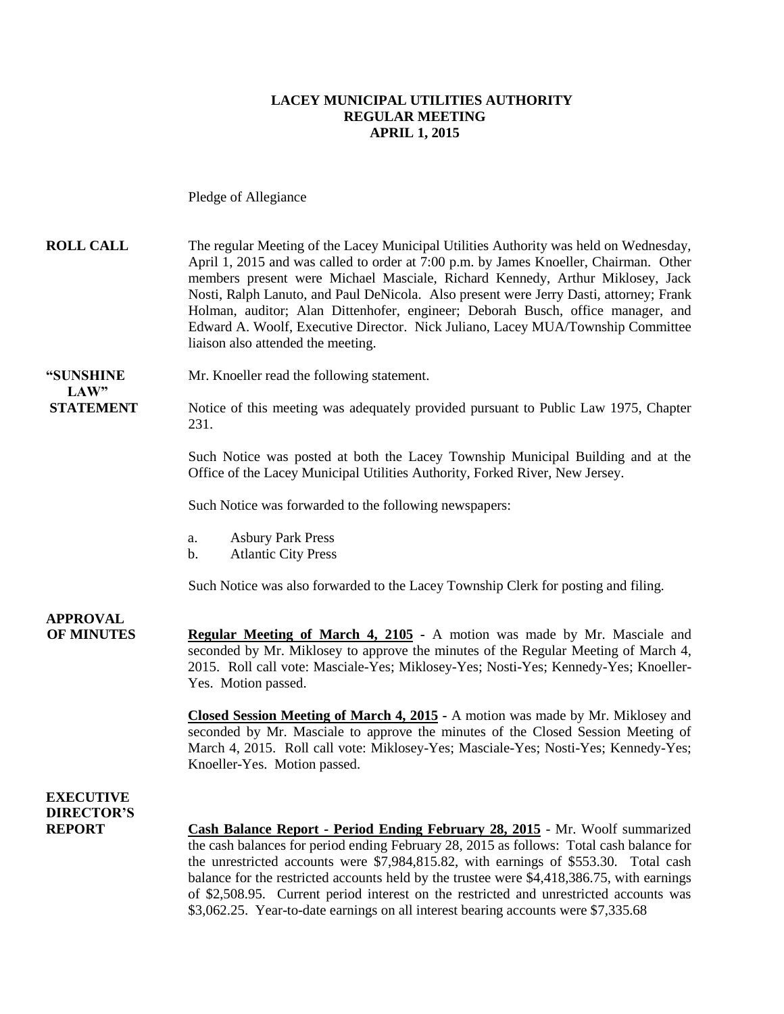#### **LACEY MUNICIPAL UTILITIES AUTHORITY REGULAR MEETING APRIL 1, 2015**

Pledge of Allegiance

- **ROLL CALL** The regular Meeting of the Lacey Municipal Utilities Authority was held on Wednesday, April 1, 2015 and was called to order at 7:00 p.m. by James Knoeller, Chairman. Other members present were Michael Masciale, Richard Kennedy, Arthur Miklosey, Jack Nosti, Ralph Lanuto, and Paul DeNicola. Also present were Jerry Dasti, attorney; Frank Holman, auditor; Alan Dittenhofer, engineer; Deborah Busch, office manager, and Edward A. Woolf, Executive Director. Nick Juliano, Lacey MUA/Township Committee liaison also attended the meeting.
- **"SUNSHINE** Mr. Knoeller read the following statement.

**STATEMENT** Notice of this meeting was adequately provided pursuant to Public Law 1975, Chapter 231.

> Such Notice was posted at both the Lacey Township Municipal Building and at the Office of the Lacey Municipal Utilities Authority, Forked River, New Jersey.

Such Notice was forwarded to the following newspapers:

- a. Asbury Park Press
- b. Atlantic City Press

Such Notice was also forwarded to the Lacey Township Clerk for posting and filing.

# **APPROVAL**

 $LAW"$ 

**OF MINUTES Regular Meeting of March 4, 2105 -** A motion was made by Mr. Masciale and seconded by Mr. Miklosey to approve the minutes of the Regular Meeting of March 4, 2015. Roll call vote: Masciale-Yes; Miklosey-Yes; Nosti-Yes; Kennedy-Yes; Knoeller-Yes. Motion passed.

> **Closed Session Meeting of March 4, 2015 -** A motion was made by Mr. Miklosey and seconded by Mr. Masciale to approve the minutes of the Closed Session Meeting of March 4, 2015. Roll call vote: Miklosey-Yes; Masciale-Yes; Nosti-Yes; Kennedy-Yes; Knoeller-Yes. Motion passed.

### **EXECUTIVE DIRECTOR'S**

**REPORT Cash Balance Report - Period Ending February 28, 2015** - Mr. Woolf summarized the cash balances for period ending February 28, 2015 as follows: Total cash balance for the unrestricted accounts were \$7,984,815.82, with earnings of \$553.30. Total cash balance for the restricted accounts held by the trustee were \$4,418,386.75, with earnings of \$2,508.95. Current period interest on the restricted and unrestricted accounts was \$3,062.25. Year-to-date earnings on all interest bearing accounts were \$7,335.68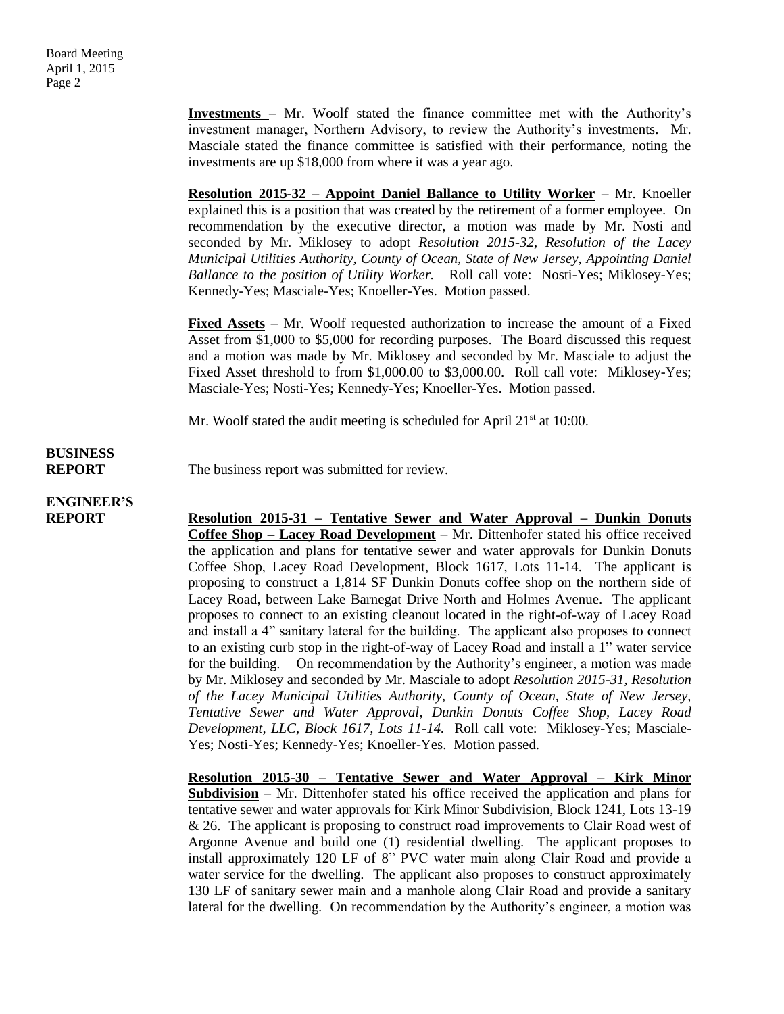**Investments** – Mr. Woolf stated the finance committee met with the Authority's investment manager, Northern Advisory, to review the Authority's investments. Mr. Masciale stated the finance committee is satisfied with their performance, noting the investments are up \$18,000 from where it was a year ago.

**Resolution 2015-32 – Appoint Daniel Ballance to Utility Worker** – Mr. Knoeller explained this is a position that was created by the retirement of a former employee. On recommendation by the executive director, a motion was made by Mr. Nosti and seconded by Mr. Miklosey to adopt *Resolution 2015-32, Resolution of the Lacey Municipal Utilities Authority, County of Ocean, State of New Jersey, Appointing Daniel Ballance to the position of Utility Worker.* Roll call vote: Nosti-Yes; Miklosey-Yes; Kennedy-Yes; Masciale-Yes; Knoeller-Yes. Motion passed.

**Fixed Assets** – Mr. Woolf requested authorization to increase the amount of a Fixed Asset from \$1,000 to \$5,000 for recording purposes. The Board discussed this request and a motion was made by Mr. Miklosey and seconded by Mr. Masciale to adjust the Fixed Asset threshold to from \$1,000.00 to \$3,000.00. Roll call vote: Miklosey-Yes; Masciale-Yes; Nosti-Yes; Kennedy-Yes; Knoeller-Yes. Motion passed.

Mr. Woolf stated the audit meeting is scheduled for April  $21<sup>st</sup>$  at 10:00.

#### **BUSINESS REPORT** The business report was submitted for review.

**ENGINEER'S**

**REPORT Resolution 2015-31 – Tentative Sewer and Water Approval – Dunkin Donuts Coffee Shop – Lacey Road Development** – Mr. Dittenhofer stated his office received the application and plans for tentative sewer and water approvals for Dunkin Donuts Coffee Shop, Lacey Road Development, Block 1617, Lots 11-14. The applicant is proposing to construct a 1,814 SF Dunkin Donuts coffee shop on the northern side of Lacey Road, between Lake Barnegat Drive North and Holmes Avenue. The applicant proposes to connect to an existing cleanout located in the right-of-way of Lacey Road and install a 4" sanitary lateral for the building. The applicant also proposes to connect to an existing curb stop in the right-of-way of Lacey Road and install a 1" water service for the building. On recommendation by the Authority's engineer, a motion was made by Mr. Miklosey and seconded by Mr. Masciale to adopt *Resolution 2015-31, Resolution of the Lacey Municipal Utilities Authority, County of Ocean, State of New Jersey, Tentative Sewer and Water Approval, Dunkin Donuts Coffee Shop, Lacey Road Development, LLC, Block 1617, Lots 11-14.* Roll call vote: Miklosey-Yes; Masciale-Yes; Nosti-Yes; Kennedy-Yes; Knoeller-Yes. Motion passed.

> **Resolution 2015-30 – Tentative Sewer and Water Approval – Kirk Minor Subdivision** – Mr. Dittenhofer stated his office received the application and plans for tentative sewer and water approvals for Kirk Minor Subdivision, Block 1241, Lots 13-19 & 26. The applicant is proposing to construct road improvements to Clair Road west of Argonne Avenue and build one (1) residential dwelling. The applicant proposes to install approximately 120 LF of 8" PVC water main along Clair Road and provide a water service for the dwelling. The applicant also proposes to construct approximately 130 LF of sanitary sewer main and a manhole along Clair Road and provide a sanitary lateral for the dwelling. On recommendation by the Authority's engineer, a motion was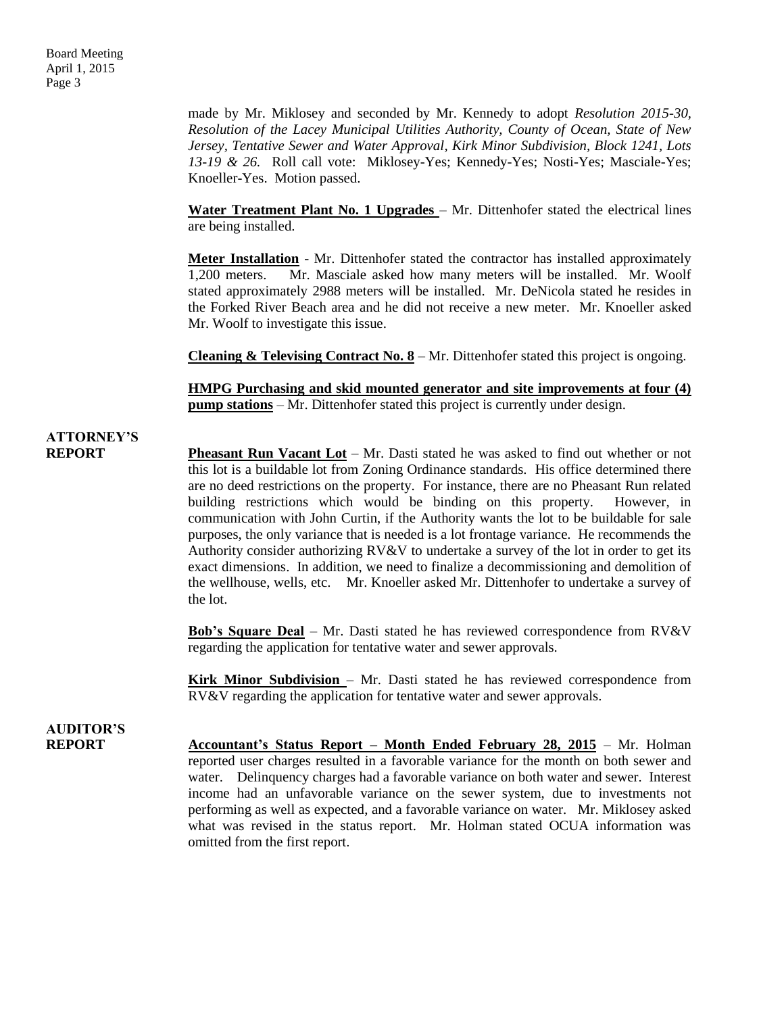made by Mr. Miklosey and seconded by Mr. Kennedy to adopt *Resolution 2015-30, Resolution of the Lacey Municipal Utilities Authority, County of Ocean, State of New Jersey, Tentative Sewer and Water Approval, Kirk Minor Subdivision, Block 1241, Lots 13-19 & 26.* Roll call vote: Miklosey-Yes; Kennedy-Yes; Nosti-Yes; Masciale-Yes; Knoeller-Yes. Motion passed.

**Water Treatment Plant No. 1 Upgrades** – Mr. Dittenhofer stated the electrical lines are being installed.

**Meter Installation** - Mr. Dittenhofer stated the contractor has installed approximately 1,200 meters. Mr. Masciale asked how many meters will be installed. Mr. Woolf stated approximately 2988 meters will be installed. Mr. DeNicola stated he resides in the Forked River Beach area and he did not receive a new meter. Mr. Knoeller asked Mr. Woolf to investigate this issue.

**Cleaning & Televising Contract No. 8** – Mr. Dittenhofer stated this project is ongoing.

**HMPG Purchasing and skid mounted generator and site improvements at four (4) pump stations** – Mr. Dittenhofer stated this project is currently under design.

### **ATTORNEY'S**

**REPORT Pheasant Run Vacant Lot** – Mr. Dasti stated he was asked to find out whether or not this lot is a buildable lot from Zoning Ordinance standards. His office determined there are no deed restrictions on the property. For instance, there are no Pheasant Run related building restrictions which would be binding on this property. However, in communication with John Curtin, if the Authority wants the lot to be buildable for sale purposes, the only variance that is needed is a lot frontage variance. He recommends the Authority consider authorizing RV&V to undertake a survey of the lot in order to get its exact dimensions. In addition, we need to finalize a decommissioning and demolition of the wellhouse, wells, etc. Mr. Knoeller asked Mr. Dittenhofer to undertake a survey of the lot.

> **Bob's Square Deal** – Mr. Dasti stated he has reviewed correspondence from RV&V regarding the application for tentative water and sewer approvals.

> **Kirk Minor Subdivision** – Mr. Dasti stated he has reviewed correspondence from RV&V regarding the application for tentative water and sewer approvals.

### **AUDITOR'S**

**REPORT Accountant's Status Report – Month Ended February 28, 2015** – Mr. Holman reported user charges resulted in a favorable variance for the month on both sewer and water. Delinquency charges had a favorable variance on both water and sewer. Interest income had an unfavorable variance on the sewer system, due to investments not performing as well as expected, and a favorable variance on water. Mr. Miklosey asked what was revised in the status report. Mr. Holman stated OCUA information was omitted from the first report.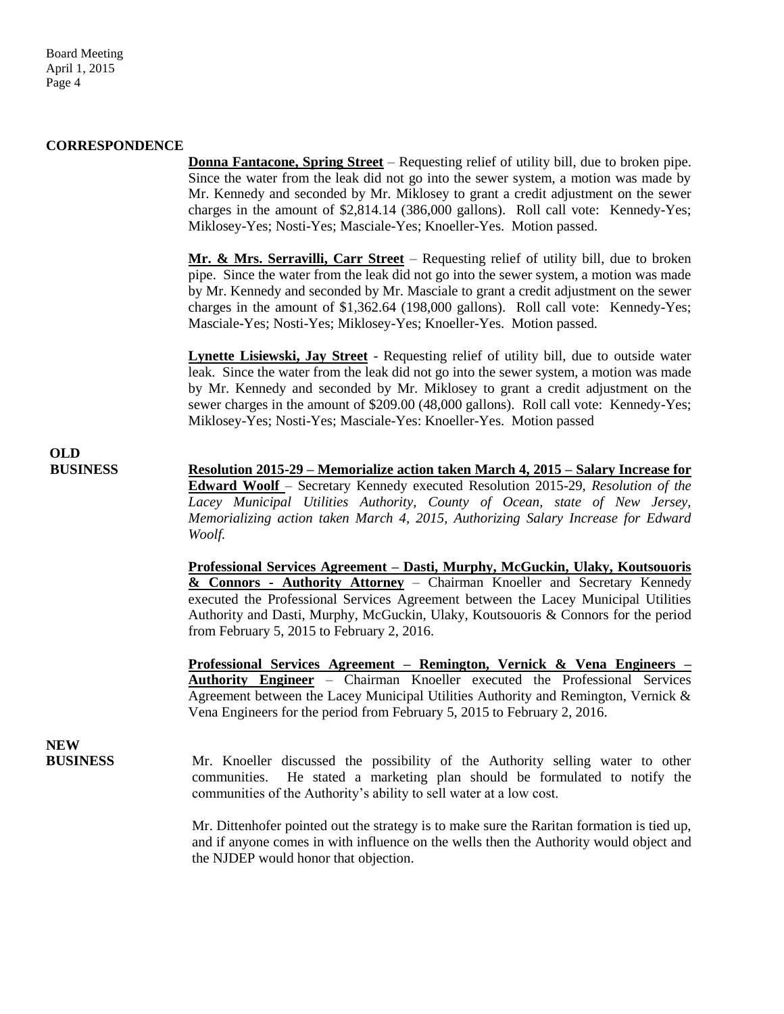Board Meeting April 1, 2015 Page 4

#### **CORRESPONDENCE**

**Donna Fantacone, Spring Street** – Requesting relief of utility bill, due to broken pipe. Since the water from the leak did not go into the sewer system, a motion was made by Mr. Kennedy and seconded by Mr. Miklosey to grant a credit adjustment on the sewer charges in the amount of \$2,814.14 (386,000 gallons). Roll call vote: Kennedy-Yes; Miklosey-Yes; Nosti-Yes; Masciale-Yes; Knoeller-Yes. Motion passed.

**Mr. & Mrs. Serravilli, Carr Street** – Requesting relief of utility bill, due to broken pipe. Since the water from the leak did not go into the sewer system, a motion was made by Mr. Kennedy and seconded by Mr. Masciale to grant a credit adjustment on the sewer charges in the amount of \$1,362.64 (198,000 gallons). Roll call vote: Kennedy-Yes; Masciale-Yes; Nosti-Yes; Miklosey-Yes; Knoeller-Yes. Motion passed.

**Lynette Lisiewski, Jay Street** - Requesting relief of utility bill, due to outside water leak. Since the water from the leak did not go into the sewer system, a motion was made by Mr. Kennedy and seconded by Mr. Miklosey to grant a credit adjustment on the sewer charges in the amount of \$209.00 (48,000 gallons). Roll call vote: Kennedy-Yes; Miklosey-Yes; Nosti-Yes; Masciale-Yes: Knoeller-Yes. Motion passed

# **OLD**

**BUSINESS Resolution 2015-29 – Memorialize action taken March 4, 2015 – Salary Increase for Edward Woolf** – Secretary Kennedy executed Resolution 2015-29, *Resolution of the Lacey Municipal Utilities Authority, County of Ocean, state of New Jersey, Memorializing action taken March 4, 2015, Authorizing Salary Increase for Edward Woolf.* 

> **Professional Services Agreement – Dasti, Murphy, McGuckin, Ulaky, Koutsouoris & Connors - Authority Attorney** – Chairman Knoeller and Secretary Kennedy executed the Professional Services Agreement between the Lacey Municipal Utilities Authority and Dasti, Murphy, McGuckin, Ulaky, Koutsouoris & Connors for the period from February 5, 2015 to February 2, 2016.

> **Professional Services Agreement – Remington, Vernick & Vena Engineers – Authority Engineer** – Chairman Knoeller executed the Professional Services Agreement between the Lacey Municipal Utilities Authority and Remington, Vernick & Vena Engineers for the period from February 5, 2015 to February 2, 2016.

# **NEW**

**BUSINESS** Mr. Knoeller discussed the possibility of the Authority selling water to other communities. He stated a marketing plan should be formulated to notify the communities of the Authority's ability to sell water at a low cost.

> Mr. Dittenhofer pointed out the strategy is to make sure the Raritan formation is tied up, and if anyone comes in with influence on the wells then the Authority would object and the NJDEP would honor that objection.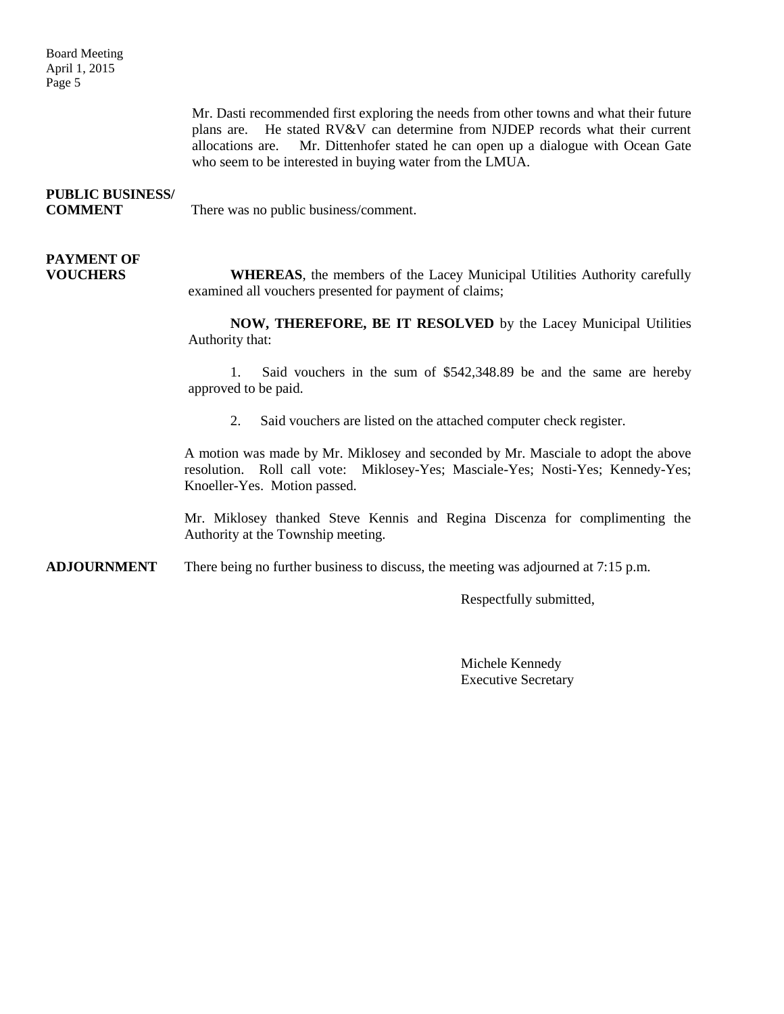Board Meeting April 1, 2015 Page 5

> Mr. Dasti recommended first exploring the needs from other towns and what their future plans are. He stated RV&V can determine from NJDEP records what their current allocations are. Mr. Dittenhofer stated he can open up a dialogue with Ocean Gate who seem to be interested in buying water from the LMUA.

## **PUBLIC BUSINESS/**

**COMMENT** There was no public business/comment.

# **PAYMENT OF**

**VOUCHERS WHEREAS**, the members of the Lacey Municipal Utilities Authority carefully examined all vouchers presented for payment of claims;

> **NOW, THEREFORE, BE IT RESOLVED** by the Lacey Municipal Utilities Authority that:

> 1. Said vouchers in the sum of \$542,348.89 be and the same are hereby approved to be paid.

2. Said vouchers are listed on the attached computer check register.

A motion was made by Mr. Miklosey and seconded by Mr. Masciale to adopt the above resolution. Roll call vote: Miklosey-Yes; Masciale-Yes; Nosti-Yes; Kennedy-Yes; Knoeller-Yes. Motion passed.

Mr. Miklosey thanked Steve Kennis and Regina Discenza for complimenting the Authority at the Township meeting.

**ADJOURNMENT** There being no further business to discuss, the meeting was adjourned at 7:15 p.m.

Respectfully submitted,

Michele Kennedy Executive Secretary